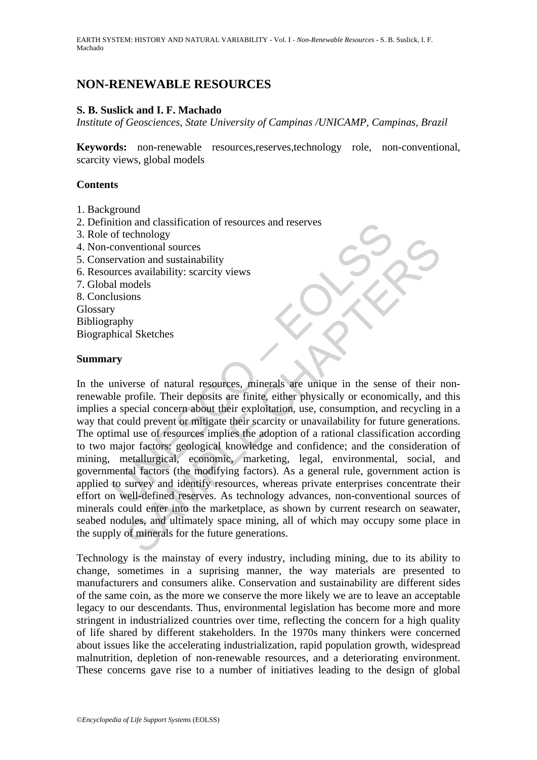# **NON-RENEWABLE RESOURCES**

#### **S. B. Suslick and I. F. Machado**

*Institute of Geosciences, State University of Campinas /UNICAMP, Campinas, Brazil* 

**Keywords:** non-renewable resources,reserves,technology role, non-conventional, scarcity views, global models

#### **Contents**

- 1. Background
- 2. Definition and classification of resources and reserves
- 3. Role of technology
- 4. Non-conventional sources
- 5. Conservation and sustainability
- 6. Resources availability: scarcity views
- 7. Global models
- 8. Conclusions

Glossary Bibliography

Biographical Sketches

#### **Summary**

of technology<br>
or technology<br>
or technology<br>
conventional sources<br>
ervation and sustainability<br>
urces availability: scarcity views<br>
al models<br>
lusions<br>
any<br>
phical Sketches<br> **ury**<br>
araphy<br>
phical Sketches<br> **ury**<br>
araphy<br>
p Exemborg<br>
ventional sources<br>
ventional sources<br>
ation and sustainability<br>
se availability: scarcity views<br>
olons<br>
hy<br>
hy<br>
al Sketches<br>
posits<br>
how<br>
by<br>
hy<br>
by<br>
hy<br>
coins<br>
coins<br>
coins<br>
olons<br>
by<br>
coins<br>
coins<br>
hy<br>
positive In the universe of natural resources, minerals are unique in the sense of their nonrenewable profile. Their deposits are finite, either physically or economically, and this implies a special concern about their exploitation, use, consumption, and recycling in a way that could prevent or mitigate their scarcity or unavailability for future generations. The optimal use of resources implies the adoption of a rational classification according to two major factors: geological knowledge and confidence; and the consideration of mining, metallurgical, economic, marketing, legal, environmental, social, and governmental factors (the modifying factors). As a general rule, government action is applied to survey and identify resources, whereas private enterprises concentrate their effort on well-defined reserves. As technology advances, non-conventional sources of minerals could enter into the marketplace, as shown by current research on seawater, seabed nodules, and ultimately space mining, all of which may occupy some place in the supply of minerals for the future generations.

Technology is the mainstay of every industry, including mining, due to its ability to change, sometimes in a suprising manner, the way materials are presented to manufacturers and consumers alike. Conservation and sustainability are different sides of the same coin, as the more we conserve the more likely we are to leave an acceptable legacy to our descendants. Thus, environmental legislation has become more and more stringent in industrialized countries over time, reflecting the concern for a high quality of life shared by different stakeholders. In the 1970s many thinkers were concerned about issues like the accelerating industrialization, rapid population growth, widespread malnutrition, depletion of non-renewable resources, and a deteriorating environment. These concerns gave rise to a number of initiatives leading to the design of global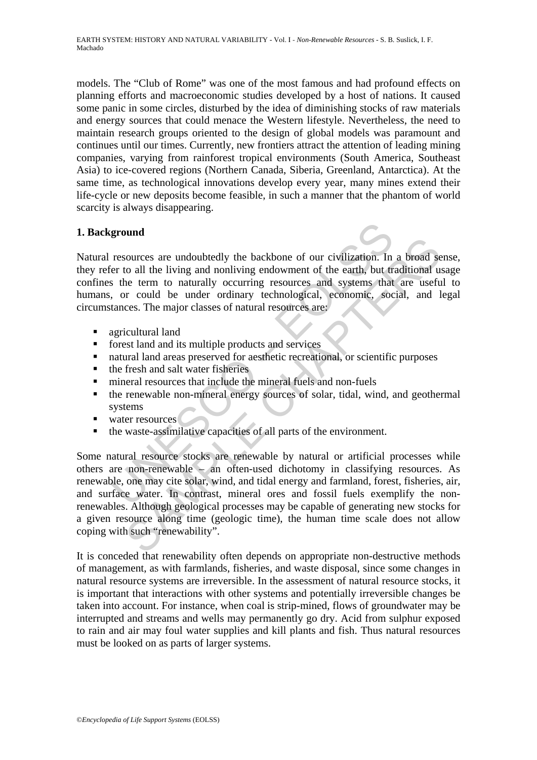models. The "Club of Rome" was one of the most famous and had profound effects on planning efforts and macroeconomic studies developed by a host of nations. It caused some panic in some circles, disturbed by the idea of diminishing stocks of raw materials and energy sources that could menace the Western lifestyle. Nevertheless, the need to maintain research groups oriented to the design of global models was paramount and continues until our times. Currently, new frontiers attract the attention of leading mining companies, varying from rainforest tropical environments (South America, Southeast Asia) to ice-covered regions (Northern Canada, Siberia, Greenland, Antarctica). At the same time, as technological innovations develop every year, many mines extend their life-cycle or new deposits become feasible, in such a manner that the phantom of world scarcity is always disappearing.

## **1. Background**

**ground**<br>
resources are undoubtedly the backbone of our civilization. In<br>
re to all the living and nonliving endowment of the earth, but tr<br>
s the term to naturally occurring resources and systems that<br>
, or could be under Natural resources are undoubtedly the backbone of our civilization. In a broad sense, they refer to all the living and nonliving endowment of the earth, but traditional usage confines the term to naturally occurring resources and systems that are useful to humans, or could be under ordinary technological, economic, social, and legal circumstances. The major classes of natural resources are:

- **agricultural land**
- **fi** forest land and its multiple products and services
- natural land areas preserved for aesthetic recreational, or scientific purposes
- $\blacksquare$  the fresh and salt water fisheries
- mineral resources that include the mineral fuels and non-fuels
- the renewable non-mineral energy sources of solar, tidal, wind, and geothermal systems
- vater resources
- the waste-assimilative capacities of all parts of the environment.

Sources are undoubtedly the backbone of our civilization. In a broad sources are undoubtedly the backbone of our civilization. In a broad so<br>to all the living and nonliving endowment of the earth, but traditional under<br>the Some natural resource stocks are renewable by natural or artificial processes while others are non-renewable – an often-used dichotomy in classifying resources. As renewable, one may cite solar, wind, and tidal energy and farmland, forest, fisheries, air, and surface water. In contrast, mineral ores and fossil fuels exemplify the nonrenewables. Although geological processes may be capable of generating new stocks for a given resource along time (geologic time), the human time scale does not allow coping with such "renewability".

It is conceded that renewability often depends on appropriate non-destructive methods of management, as with farmlands, fisheries, and waste disposal, since some changes in natural resource systems are irreversible. In the assessment of natural resource stocks, it is important that interactions with other systems and potentially irreversible changes be taken into account. For instance, when coal is strip-mined, flows of groundwater may be interrupted and streams and wells may permanently go dry. Acid from sulphur exposed to rain and air may foul water supplies and kill plants and fish. Thus natural resources must be looked on as parts of larger systems.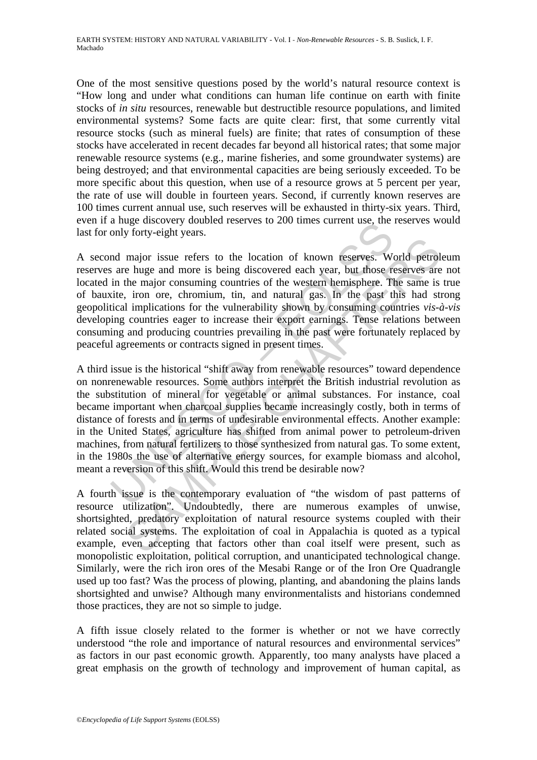One of the most sensitive questions posed by the world's natural resource context is "How long and under what conditions can human life continue on earth with finite stocks of *in situ* resources, renewable but destructible resource populations, and limited environmental systems? Some facts are quite clear: first, that some currently vital resource stocks (such as mineral fuels) are finite; that rates of consumption of these stocks have accelerated in recent decades far beyond all historical rates; that some major renewable resource systems (e.g., marine fisheries, and some groundwater systems) are being destroyed; and that environmental capacities are being seriously exceeded. To be more specific about this question, when use of a resource grows at 5 percent per year, the rate of use will double in fourteen years. Second, if currently known reserves are 100 times current annual use, such reserves will be exhausted in thirty-six years. Third, even if a huge discovery doubled reserves to 200 times current use, the reserves would last for only forty-eight years.

A second major issue refers to the location of known reserves. World petroleum reserves are huge and more is being discovered each year, but those reserves are not located in the major consuming countries of the western hemisphere. The same is true of bauxite, iron ore, chromium, tin, and natural gas. In the past this had strong geopolitical implications for the vulnerability shown by consuming countries *vis-à-vis* developing countries eager to increase their export earnings. Tense relations between consuming and producing countries prevailing in the past were fortunately replaced by peaceful agreements or contracts signed in present times.

a mige unscovery doubled reserves to 200 times curient use, the<br>only forty-eight years.<br>
and major issue refers to the location of known reserves. We<br>
are huge and more is being discovered each year, but those re<br>
in the m major issue refers to the location of known reserves. World petrol<br>major issue refers to the location of known reserves. World petrol<br>the major consuming countries of the western hemisphere. The same is<br>in the major consum A third issue is the historical "shift away from renewable resources" toward dependence on nonrenewable resources. Some authors interpret the British industrial revolution as the substitution of mineral for vegetable or animal substances. For instance, coal became important when charcoal supplies became increasingly costly, both in terms of distance of forests and in terms of undesirable environmental effects. Another example: in the United States, agriculture has shifted from animal power to petroleum-driven machines, from natural fertilizers to those synthesized from natural gas. To some extent, in the 1980s the use of alternative energy sources, for example biomass and alcohol, meant a reversion of this shift. Would this trend be desirable now?

A fourth issue is the contemporary evaluation of "the wisdom of past patterns of resource utilization". Undoubtedly, there are numerous examples of unwise, shortsighted, predatory exploitation of natural resource systems coupled with their related social systems. The exploitation of coal in Appalachia is quoted as a typical example, even accepting that factors other than coal itself were present, such as monopolistic exploitation, political corruption, and unanticipated technological change. Similarly, were the rich iron ores of the Mesabi Range or of the Iron Ore Quadrangle used up too fast? Was the process of plowing, planting, and abandoning the plains lands shortsighted and unwise? Although many environmentalists and historians condemned those practices, they are not so simple to judge.

A fifth issue closely related to the former is whether or not we have correctly understood "the role and importance of natural resources and environmental services" as factors in our past economic growth. Apparently, too many analysts have placed a great emphasis on the growth of technology and improvement of human capital, as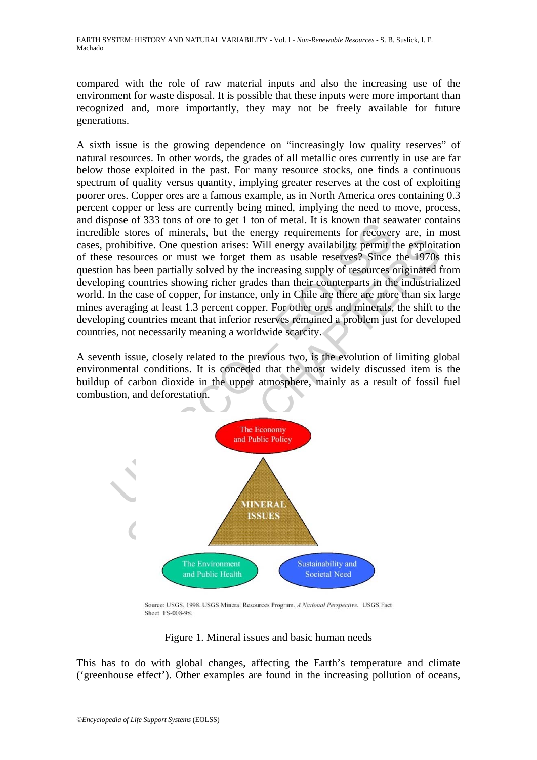compared with the role of raw material inputs and also the increasing use of the environment for waste disposal. It is possible that these inputs were more important than recognized and, more importantly, they may not be freely available for future generations.

The stores of minerals but the energy requirements for recover<br>ole stores of minerals but the energy requirements for recover<br>prohibitive. One question arises: Will energy requirements for recover<br>prohibitive. One question A sixth issue is the growing dependence on "increasingly low quality reserves" of natural resources. In other words, the grades of all metallic ores currently in use are far below those exploited in the past. For many resource stocks, one finds a continuous spectrum of quality versus quantity, implying greater reserves at the cost of exploiting poorer ores. Copper ores are a famous example, as in North America ores containing 0.3 percent copper or less are currently being mined, implying the need to move, process, and dispose of 333 tons of ore to get 1 ton of metal. It is known that seawater contains incredible stores of minerals, but the energy requirements for recovery are, in most cases, prohibitive. One question arises: Will energy availability permit the exploitation of these resources or must we forget them as usable reserves? Since the 1970s this question has been partially solved by the increasing supply of resources originated from developing countries showing richer grades than their counterparts in the industrialized world. In the case of copper, for instance, only in Chile are there are more than six large mines averaging at least 1.3 percent copper. For other ores and minerals, the shift to the developing countries meant that inferior reserves remained a problem just for developed countries, not necessarily meaning a worldwide scarcity.

A seventh issue, closely related to the previous two, is the evolution of limiting global environmental conditions. It is conceded that the most widely discussed item is the buildup of carbon dioxide in the upper atmosphere, mainly as a result of fossil fuel combustion, and deforestation.



Source: USGS, 1998. USGS Mineral Resources Program. A National Perspective. USGS Fact Sheet FS-008-98.

Figure 1. Mineral issues and basic human needs

This has to do with global changes, affecting the Earth's temperature and climate ('greenhouse effect'). Other examples are found in the increasing pollution of oceans,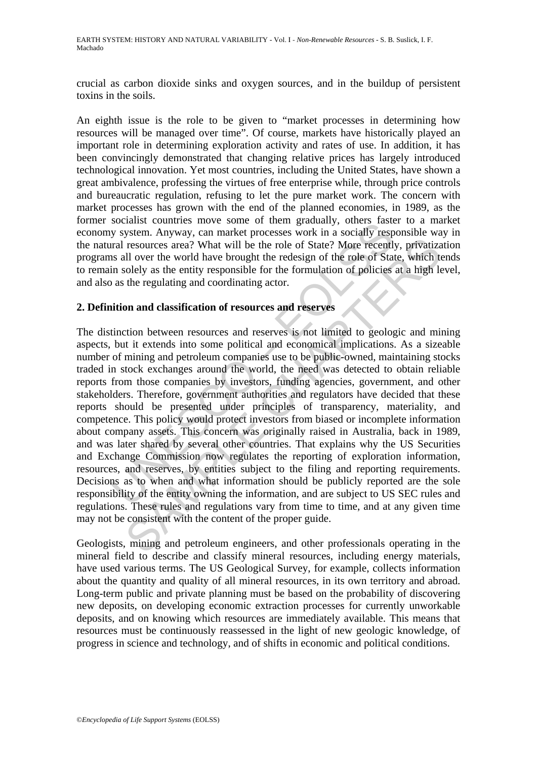crucial as carbon dioxide sinks and oxygen sources, and in the buildup of persistent toxins in the soils.

An eighth issue is the role to be given to "market processes in determining how resources will be managed over time". Of course, markets have historically played an important role in determining exploration activity and rates of use. In addition, it has been convincingly demonstrated that changing relative prices has largely introduced technological innovation. Yet most countries, including the United States, have shown a great ambivalence, professing the virtues of free enterprise while, through price controls and bureaucratic regulation, refusing to let the pure market work. The concern with market processes has grown with the end of the planned economies, in 1989, as the former socialist countries move some of them gradually, others faster to a market economy system. Anyway, can market processes work in a socially responsible way in the natural resources area? What will be the role of State? More recently, privatization programs all over the world have brought the redesign of the role of State, which tends to remain solely as the entity responsible for the formulation of policies at a high level, and also as the regulating and coordinating actor.

#### **2. Definition and classification of resources and reserves**

socialist counties into method in a method in a socially respect to the system. Anyway, can market processes work in a socially respaint as over star and resources area? What will be the role of State? More recentl as all resources area? What will be the role of State? More recently, privatizall over the world have brought the role of State? More recently, privatizall over the world have brought the redesign of the role of State, which tool The distinction between resources and reserves is not limited to geologic and mining aspects, but it extends into some political and economical implications. As a sizeable number of mining and petroleum companies use to be public-owned, maintaining stocks traded in stock exchanges around the world, the need was detected to obtain reliable reports from those companies by investors, funding agencies, government, and other stakeholders. Therefore, government authorities and regulators have decided that these reports should be presented under principles of transparency, materiality, and competence. This policy would protect investors from biased or incomplete information about company assets. This concern was originally raised in Australia, back in 1989, and was later shared by several other countries. That explains why the US Securities and Exchange Commission now regulates the reporting of exploration information, resources, and reserves, by entities subject to the filing and reporting requirements. Decisions as to when and what information should be publicly reported are the sole responsibility of the entity owning the information, and are subject to US SEC rules and regulations. These rules and regulations vary from time to time, and at any given time may not be consistent with the content of the proper guide.

Geologists, mining and petroleum engineers, and other professionals operating in the mineral field to describe and classify mineral resources, including energy materials, have used various terms. The US Geological Survey, for example, collects information about the quantity and quality of all mineral resources, in its own territory and abroad. Long-term public and private planning must be based on the probability of discovering new deposits, on developing economic extraction processes for currently unworkable deposits, and on knowing which resources are immediately available. This means that resources must be continuously reassessed in the light of new geologic knowledge, of progress in science and technology, and of shifts in economic and political conditions.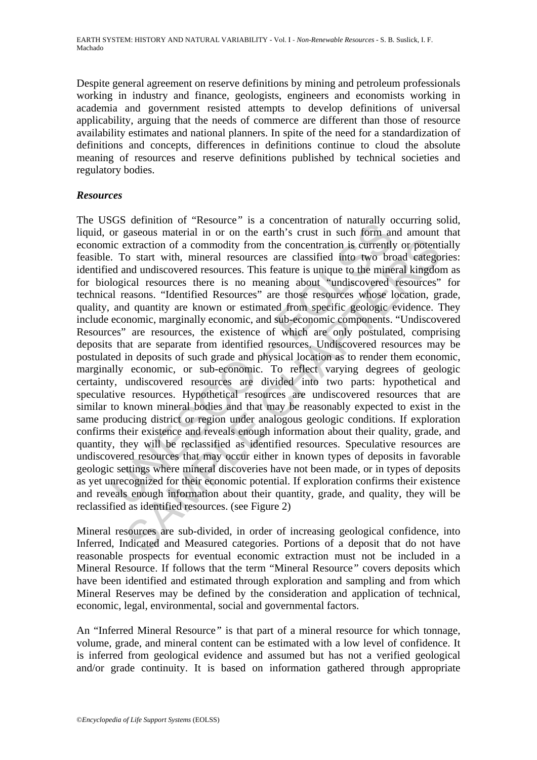Despite general agreement on reserve definitions by mining and petroleum professionals working in industry and finance, geologists, engineers and economists working in academia and government resisted attempts to develop definitions of universal applicability, arguing that the needs of commerce are different than those of resource availability estimates and national planners. In spite of the need for a standardization of definitions and concepts, differences in definitions continue to cloud the absolute meaning of resources and reserve definitions published by technical societies and regulatory bodies.

## *Resources*

Solution of resource is a concernation of radiative costs and content<br>or gaseous material in or on the earth's crust in such form an<br>ic extraction of a commodity from the concentration is currently.<br>To start with, mineral extraction of a commodity from the concentration is currently or potent<br>o start with, mineral resources are classified into two broad catego<br>nd undiscovered resources. This feature is unique to the mineral kingdom<br>cical re The USGS definition of "Resource*"* is a concentration of naturally occurring solid, liquid, or gaseous material in or on the earth's crust in such form and amount that economic extraction of a commodity from the concentration is currently or potentially feasible. To start with, mineral resources are classified into two broad categories: identified and undiscovered resources. This feature is unique to the mineral kingdom as for biological resources there is no meaning about "undiscovered resources" for technical reasons. "Identified Resources" are those resources whose location, grade, quality, and quantity are known or estimated from specific geologic evidence. They include economic, marginally economic, and sub-economic components. "Undiscovered Resources" are resources, the existence of which are only postulated, comprising deposits that are separate from identified resources. Undiscovered resources may be postulated in deposits of such grade and physical location as to render them economic, marginally economic, or sub-economic. To reflect varying degrees of geologic certainty, undiscovered resources are divided into two parts: hypothetical and speculative resources. Hypothetical resources are undiscovered resources that are similar to known mineral bodies and that may be reasonably expected to exist in the same producing district or region under analogous geologic conditions. If exploration confirms their existence and reveals enough information about their quality, grade, and quantity, they will be reclassified as identified resources. Speculative resources are undiscovered resources that may occur either in known types of deposits in favorable geologic settings where mineral discoveries have not been made, or in types of deposits as yet unrecognized for their economic potential. If exploration confirms their existence and reveals enough information about their quantity, grade, and quality, they will be reclassified as identified resources. (see Figure 2)

Mineral resources are sub-divided, in order of increasing geological confidence, into Inferred, Indicated and Measured categories. Portions of a deposit that do not have reasonable prospects for eventual economic extraction must not be included in a Mineral Resource. If follows that the term "Mineral Resource*"* covers deposits which have been identified and estimated through exploration and sampling and from which Mineral Reserves may be defined by the consideration and application of technical, economic, legal, environmental, social and governmental factors.

An "Inferred Mineral Resource*"* is that part of a mineral resource for which tonnage, volume, grade, and mineral content can be estimated with a low level of confidence. It is inferred from geological evidence and assumed but has not a verified geological and/or grade continuity. It is based on information gathered through appropriate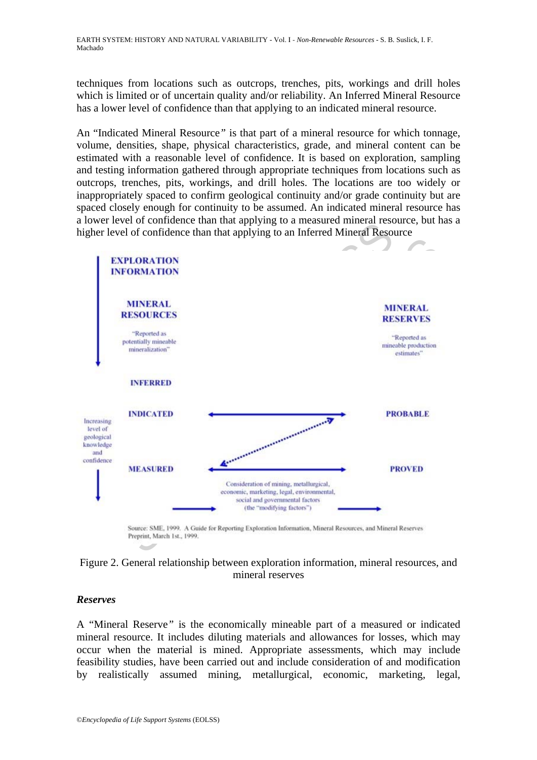techniques from locations such as outcrops, trenches, pits, workings and drill holes which is limited or of uncertain quality and/or reliability. An Inferred Mineral Resource has a lower level of confidence than that applying to an indicated mineral resource.

An "Indicated Mineral Resource*"* is that part of a mineral resource for which tonnage, volume, densities, shape, physical characteristics, grade, and mineral content can be estimated with a reasonable level of confidence. It is based on exploration, sampling and testing information gathered through appropriate techniques from locations such as outcrops, trenches, pits, workings, and drill holes. The locations are too widely or inappropriately spaced to confirm geological continuity and/or grade continuity but are spaced closely enough for continuity to be assumed. An indicated mineral resource has a lower level of confidence than that applying to a measured mineral resource, but has a higher level of confidence than that applying to an Inferred Mineral Resource



### Figure 2. General relationship between exploration information, mineral resources, and mineral reserves

## *Reserves*

A "Mineral Reserve*"* is the economically mineable part of a measured or indicated mineral resource. It includes diluting materials and allowances for losses, which may occur when the material is mined. Appropriate assessments, which may include feasibility studies, have been carried out and include consideration of and modification by realistically assumed mining, metallurgical, economic, marketing, legal,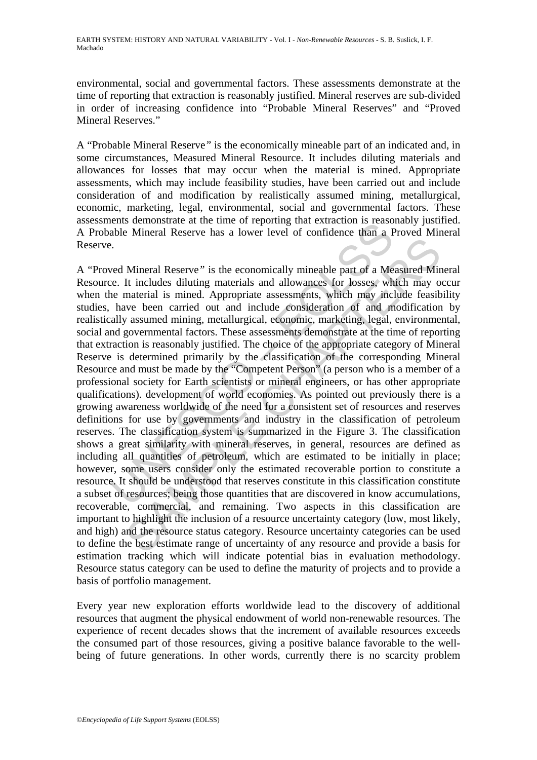environmental, social and governmental factors. These assessments demonstrate at the time of reporting that extraction is reasonably justified. Mineral reserves are sub-divided in order of increasing confidence into "Probable Mineral Reserves" and "Proved Mineral Reserves."

A "Probable Mineral Reserve*"* is the economically mineable part of an indicated and, in some circumstances, Measured Mineral Resource. It includes diluting materials and allowances for losses that may occur when the material is mined. Appropriate assessments, which may include feasibility studies, have been carried out and include consideration of and modification by realistically assumed mining, metallurgical, economic, marketing, legal, environmental, social and governmental factors. These assessments demonstrate at the time of reporting that extraction is reasonably justified. A Probable Mineral Reserve has a lower level of confidence than a Proved Mineral Reserve.

The metallical Reserve has a lower level of confidence than a Franchinezon.<br>
And Mineral Reserve has a lower level of confidence than a F<br>
And Mineral Reserve has a lower level of confidence than a F<br>  $\alpha$ .<br>
Level Mineral Mineral Reserve" is the economically mineable part of a Measured Mir<br>It includes diluting materials and allowances for losses, which may o<br>material is mined. Appropriate assessments, which may include feasib<br>we been carrie A "Proved Mineral Reserve*"* is the economically mineable part of a Measured Mineral Resource. It includes diluting materials and allowances for losses, which may occur when the material is mined. Appropriate assessments, which may include feasibility studies, have been carried out and include consideration of and modification by realistically assumed mining, metallurgical, economic, marketing, legal, environmental, social and governmental factors. These assessments demonstrate at the time of reporting that extraction is reasonably justified. The choice of the appropriate category of Mineral Reserve is determined primarily by the classification of the corresponding Mineral Resource and must be made by the "Competent Person" (a person who is a member of a professional society for Earth scientists or mineral engineers, or has other appropriate qualifications). development of world economies. As pointed out previously there is a growing awareness worldwide of the need for a consistent set of resources and reserves definitions for use by governments and industry in the classification of petroleum reserves. The classification system is summarized in the Figure 3. The classification shows a great similarity with mineral reserves, in general, resources are defined as including all quantities of petroleum, which are estimated to be initially in place; however, some users consider only the estimated recoverable portion to constitute a resource. It should be understood that reserves constitute in this classification constitute a subset of resources; being those quantities that are discovered in know accumulations, recoverable, commercial, and remaining. Two aspects in this classification are important to highlight the inclusion of a resource uncertainty category (low, most likely, and high) and the resource status category. Resource uncertainty categories can be used to define the best estimate range of uncertainty of any resource and provide a basis for estimation tracking which will indicate potential bias in evaluation methodology. Resource status category can be used to define the maturity of projects and to provide a basis of portfolio management.

Every year new exploration efforts worldwide lead to the discovery of additional resources that augment the physical endowment of world non-renewable resources. The experience of recent decades shows that the increment of available resources exceeds the consumed part of those resources, giving a positive balance favorable to the wellbeing of future generations. In other words, currently there is no scarcity problem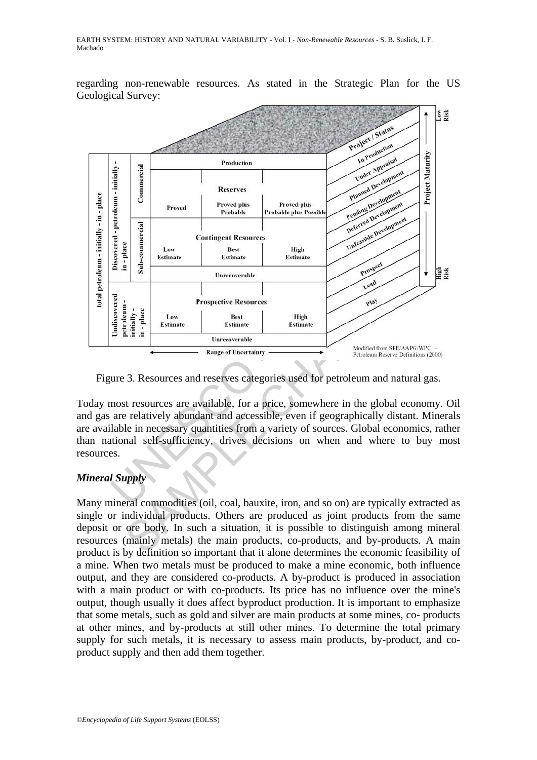regarding non-renewable resources. As stated in the Strategic Plan for the US Geological Survey:



Figure 3. Resources and reserves categories used for petroleum and natural gas.

Today most resources are available, for a price, somewhere in the global economy. Oil and gas are relatively abundant and accessible, even if geographically distant. Minerals are available in necessary quantities from a variety of sources. Global economics, rather than national self-sufficiency, drives decisions on when and where to buy most resources.

## *Mineral Supply*

Many mineral commodities (oil, coal, bauxite, iron, and so on) are typically extracted as single or individual products. Others are produced as joint products from the same deposit or ore body. In such a situation, it is possible to distinguish among mineral resources (mainly metals) the main products, co-products, and by-products. A main product is by definition so important that it alone determines the economic feasibility of a mine. When two metals must be produced to make a mine economic, both influence output, and they are considered co-products. A by-product is produced in association with a main product or with co-products. Its price has no influence over the mine's output, though usually it does affect byproduct production. It is important to emphasize that some metals, such as gold and silver are main products at some mines, co- products at other mines, and by-products at still other mines. To determine the total primary supply for such metals, it is necessary to assess main products, by-product, and coproduct supply and then add them together.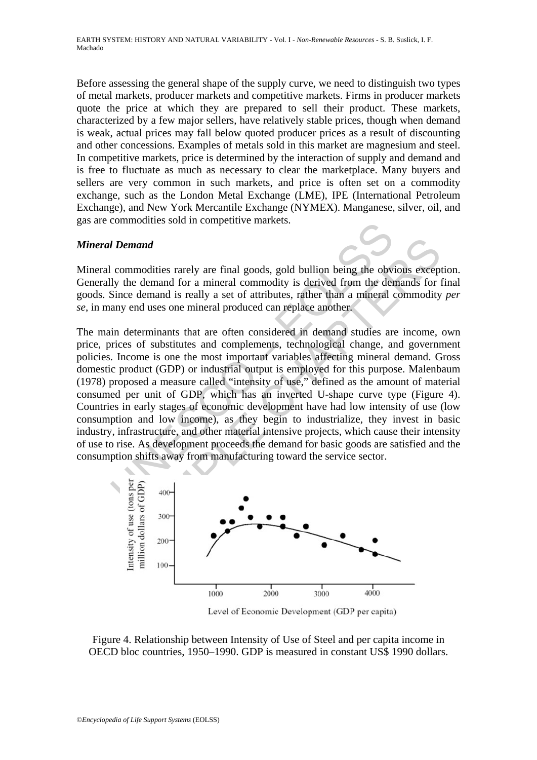Before assessing the general shape of the supply curve, we need to distinguish two types of metal markets, producer markets and competitive markets. Firms in producer markets quote the price at which they are prepared to sell their product. These markets, characterized by a few major sellers, have relatively stable prices, though when demand is weak, actual prices may fall below quoted producer prices as a result of discounting and other concessions. Examples of metals sold in this market are magnesium and steel. In competitive markets, price is determined by the interaction of supply and demand and is free to fluctuate as much as necessary to clear the marketplace. Many buyers and sellers are very common in such markets, and price is often set on a commodity exchange, such as the London Metal Exchange (LME), IPE (International Petroleum Exchange), and New York Mercantile Exchange (NYMEX). Manganese, silver, oil, and gas are commodities sold in competitive markets.

#### *Mineral Demand*

Mineral commodities rarely are final goods, gold bullion being the obvious exception. Generally the demand for a mineral commodity is derived from the demands for final goods. Since demand is really a set of attributes, rather than a mineral commodity *per se*, in many end uses one mineral produced can replace another.

**IDemand**<br>
commodities rarely are final goods, gold bullion being the obv<br>
by the demand for a mineral commodity is derived from the der-<br>
Since demand is really a set of attributes, rather than a mineral<br>
any end uses on **emand**<br>
emand<br>
mmodities rarely are final goods, gold bullion being the obvious except<br>
the demand for a mineral commodity is derived from the demands for r<br>
ce demand is really a set of attributes, rather than a mineral The main determinants that are often considered in demand studies are income, own price, prices of substitutes and complements, technological change, and government policies. Income is one the most important variables affecting mineral demand. Gross domestic product (GDP) or industrial output is employed for this purpose. Malenbaum (1978) proposed a measure called "intensity of use," defined as the amount of material consumed per unit of GDP, which has an inverted U-shape curve type (Figure 4). Countries in early stages of economic development have had low intensity of use (low consumption and low income), as they begin to industrialize, they invest in basic industry, infrastructure, and other material intensive projects, which cause their intensity of use to rise. As development proceeds the demand for basic goods are satisfied and the consumption shifts away from manufacturing toward the service sector.



Level of Economic Development (GDP per capita)

Figure 4. Relationship between Intensity of Use of Steel and per capita income in OECD bloc countries, 1950–1990. GDP is measured in constant US\$ 1990 dollars.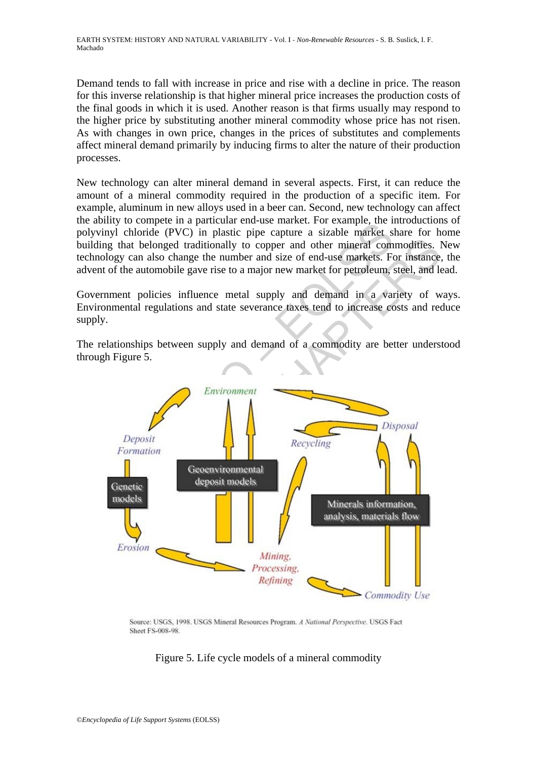Demand tends to fall with increase in price and rise with a decline in price. The reason for this inverse relationship is that higher mineral price increases the production costs of the final goods in which it is used. Another reason is that firms usually may respond to the higher price by substituting another mineral commodity whose price has not risen. As with changes in own price, changes in the prices of substitutes and complements affect mineral demand primarily by inducing firms to alter the nature of their production processes.

New technology can alter mineral demand in several aspects. First, it can reduce the amount of a mineral commodity required in the production of a specific item. For example, aluminum in new alloys used in a beer can. Second, new technology can affect the ability to compete in a particular end-use market. For example, the introductions of polyvinyl chloride (PVC) in plastic pipe capture a sizable market share for home building that belonged traditionally to copper and other mineral commodities. New technology can also change the number and size of end-use markets. For instance, the advent of the automobile gave rise to a major new market for petroleum, steel, and lead.

Government policies influence metal supply and demand in a variety of ways. Environmental regulations and state severance taxes tend to increase costs and reduce supply.

The relationships between supply and demand of a commodity are better understood through Figure 5.



Source: USGS, 1998. USGS Mineral Resources Program. A National Perspective. USGS Fact **Sheet FS-008-98.** 

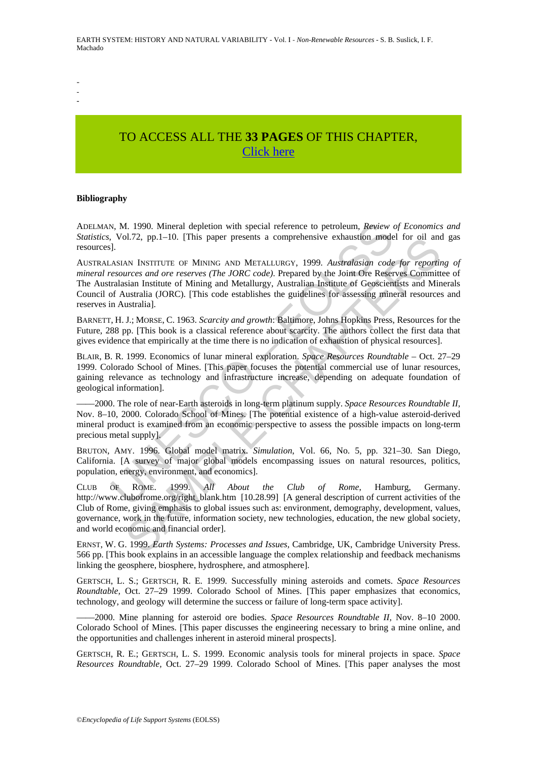- - -

# TO ACCESS ALL THE **33 PAGES** OF THIS CHAPTER, [Click here](https://www.eolss.net/ebooklib/sc_cart.aspx?File=E1-01-02-11)

#### **Bibliography**

ADELMAN, M. 1990. Mineral depletion with special reference to petroleum, *Review of Economics and Statistics*, Vol.72, pp.1–10. [This paper presents a comprehensive exhaustion model for oil and gas resources].

N, M. 1990. Mineral depletion with special reference to petroleum, *Review* cold in<br>1, Vol.72, pp.1–10. [This paper presents a comprehensive exhaustion mode<br>1.<br>1.<br>1.<br>4.81AN INSTITUTE OF MINING AND METALLURGY, 1999. *Austra* 20.1/2, pp.1-10. [This paper presents a comprenensive exhaustion model for oil and<br>AN INSTITUTE OF MINING AND METALLURGY, 1999. *Australasian code for reporting the state reserves (The JORC code)*. Prepared by the Join Or AUSTRALASIAN INSTITUTE OF MINING AND METALLURGY, 1999. *Australasian code for reporting of mineral resources and ore reserves (The JORC code)*. Prepared by the Joint Ore Reserves Committee of The Australasian Institute of Mining and Metallurgy, Australian Institute of Geoscientists and Minerals Council of Australia (JORC). [This code establishes the guidelines for assessing mineral resources and reserves in Australia].

BARNETT, H. J.; MORSE, C. 1963. *Scarcity and growth*: Baltimore, Johns Hopkins Press, Resources for the Future, 288 pp. [This book is a classical reference about scarcity. The authors collect the first data that gives evidence that empirically at the time there is no indication of exhaustion of physical resources].

BLAIR, B. R. 1999. Economics of lunar mineral exploration. *Space Resources Roundtable* – Oct. 27–29 1999. Colorado School of Mines. [This paper focuses the potential commercial use of lunar resources, gaining relevance as technology and infrastructure increase, depending on adequate foundation of geological information].

––––2000. The role of near-Earth asteroids in long-term platinum supply. *Space Resources Roundtable II,* Nov. 8–10, 2000. Colorado School of Mines. [The potential existence of a high-value asteroid-derived mineral product is examined from an economic perspective to assess the possible impacts on long-term precious metal supply].

BRUTON, AMY. 1996. Global model matrix. *Simulation*, Vol. 66, No. 5, pp. 321–30. San Diego, California. [A survey of major global models encompassing issues on natural resources, politics, population, energy, environment, and economics].

CLUB OF ROME. 1999. *All About the Club of Rome*, Hamburg, Germany. http://www.clubofrome.org/right\_blank.htm [10.28.99] [A general description of current activities of the Club of Rome, giving emphasis to global issues such as: environment, demography, development, values, governance, work in the future, information society, new technologies, education, the new global society, and world economic and financial order].

ERNST, W. G. 1999. *Earth Systems: Processes and Issues,* Cambridge, UK, Cambridge University Press. 566 pp. [This book explains in an accessible language the complex relationship and feedback mechanisms linking the geosphere, biosphere, hydrosphere, and atmosphere].

GERTSCH, L. S.; GERTSCH, R. E. 1999. Successfully mining asteroids and comets. *Space Resources Roundtable,* Oct. 27–29 1999. Colorado School of Mines. [This paper emphasizes that economics, technology, and geology will determine the success or failure of long-term space activity].

––––2000. Mine planning for asteroid ore bodies. *Space Resources Roundtable II,* Nov. 8–10 2000. Colorado School of Mines. [This paper discusses the engineering necessary to bring a mine online, and the opportunities and challenges inherent in asteroid mineral prospects].

GERTSCH, R. E.; GERTSCH, L. S. 1999. Economic analysis tools for mineral projects in space. *Space Resources Roundtable,* Oct. 27–29 1999. Colorado School of Mines. [This paper analyses the most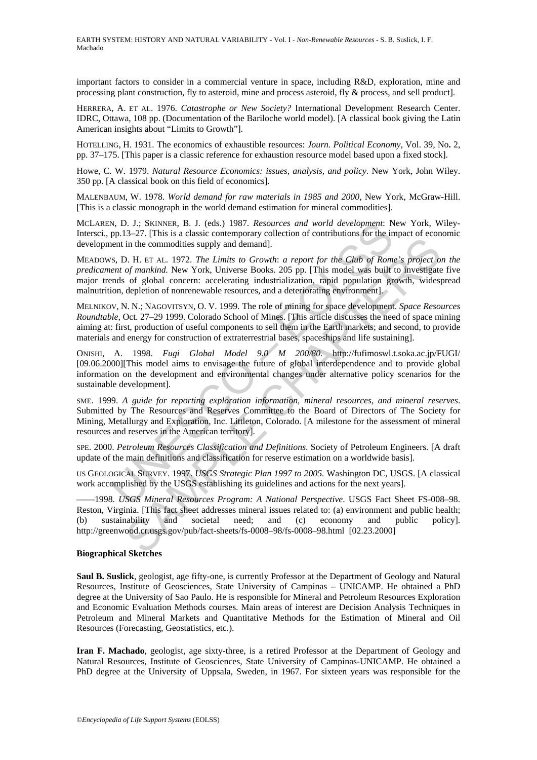important factors to consider in a commercial venture in space, including R&D, exploration, mine and processing plant construction, fly to asteroid, mine and process asteroid, fly & process, and sell product].

HERRERA, A. ET AL. 1976. *Catastrophe or New Society?* International Development Research Center. IDRC, Ottawa, 108 pp. (Documentation of the Bariloche world model). [A classical book giving the Latin American insights about "Limits to Growth"].

HOTELLING, H. 1931. The economics of exhaustible resources: *Journ. Political Economy*, Vol. 39, No**.** 2, pp. 37–175. [This paper is a classic reference for exhaustion resource model based upon a fixed stock].

Howe, C. W. 1979. *Natural Resource Economics: issues, analysis, and policy.* New York, John Wiley. 350 pp. [A classical book on this field of economics].

MALENBAUM, W. 1978. *World demand for raw materials in 1985 and 2000*, New York, McGraw-Hill. [This is a classic monograph in the world demand estimation for mineral commodities].

MCLAREN, D. J.; SKINNER, B. J. (eds.) 1987. *Resources and world development*: New York, Wiley-Intersci., pp.13–27. [This is a classic contemporary collection of contributions for the impact of economic development in the commodities supply and demand].

N, D. J.; SKINNER, B. J. (eds.) 1987. *Resources and world development*: Np. 1.; SKINNER, B. J. (eds.) 1987. *Resources and world development*: N pp.13-27. [This is a classic contemporary collection of contributions for th For the means of the accuracy of the contribution in the commodities supply and demand].<br>
The technologies supply and demand].<br>
The Her AL. 1972. The Limits to Growth: a report for the Club of Rome's project of of global MEADOWS, D. H. ET AL. 1972. *The Limits to Growth*: *a report for the Club of Rome's project on the predicament of mankind.* New York, Universe Books. 205 pp. [This model was built to investigate five major trends of global concern: accelerating industrialization, rapid population growth, widespread malnutrition, depletion of nonrenewable resources, and a deteriorating environment].

MELNIKOV, N. N.; NAGOVITSYN, O. V. 1999. The role of mining for space development. *Space Resources Roundtable,* Oct. 27–29 1999. Colorado School of Mines. [This article discusses the need of space mining aiming at: first, production of useful components to sell them in the Earth markets; and second, to provide materials and energy for construction of extraterrestrial bases, spaceships and life sustaining].

ONISHI, A. 1998. *Fugi Global Model 9.0 M 200/80.* http://fufimoswl.t.soka.ac.jp/FUGI/ [09.06.2000][This model aims to envisage the future of global interdependence and to provide global information on the development and environmental changes under alternative policy scenarios for the sustainable development].

SME. 1999. *A guide for reporting exploration information, mineral resources, and mineral reserves*. Submitted by The Resources and Reserves Committee to the Board of Directors of The Society for Mining, Metallurgy and Exploration, Inc. Littleton, Colorado. [A milestone for the assessment of mineral resources and reserves in the American territory].

SPE. 2000. *Petroleum Resources Classification and Definitions*. Society of Petroleum Engineers. [A draft update of the main definitions and classification for reserve estimation on a worldwide basis].

US GEOLOGICAL SURVEY. 1997. *USGS Strategic Plan 1997 to 2005.* Washington DC, USGS. [A classical work accomplished by the USGS establishing its guidelines and actions for the next years].

––––1998. *USGS Mineral Resources Program: A National Perspective*. USGS Fact Sheet FS-008–98. Reston, Virginia. [This fact sheet addresses mineral issues related to: (a) environment and public health; (b) sustainability and societal need; and (c) economy and public policy]. http://greenwood.cr.usgs.gov/pub/fact-sheets/fs-0008–98/fs-0008–98.html [02.23.2000]

#### **Biographical Sketches**

**Saul B. Suslick**, geologist, age fifty-one, is currently Professor at the Department of Geology and Natural Resources, Institute of Geosciences, State University of Campinas – UNICAMP. He obtained a PhD degree at the University of Sao Paulo. He is responsible for Mineral and Petroleum Resources Exploration and Economic Evaluation Methods courses. Main areas of interest are Decision Analysis Techniques in Petroleum and Mineral Markets and Quantitative Methods for the Estimation of Mineral and Oil Resources (Forecasting, Geostatistics, etc.).

**Iran F. Machado**, geologist, age sixty-three, is a retired Professor at the Department of Geology and Natural Resources, Institute of Geosciences, State University of Campinas-UNICAMP. He obtained a PhD degree at the University of Uppsala, Sweden, in 1967. For sixteen years was responsible for the